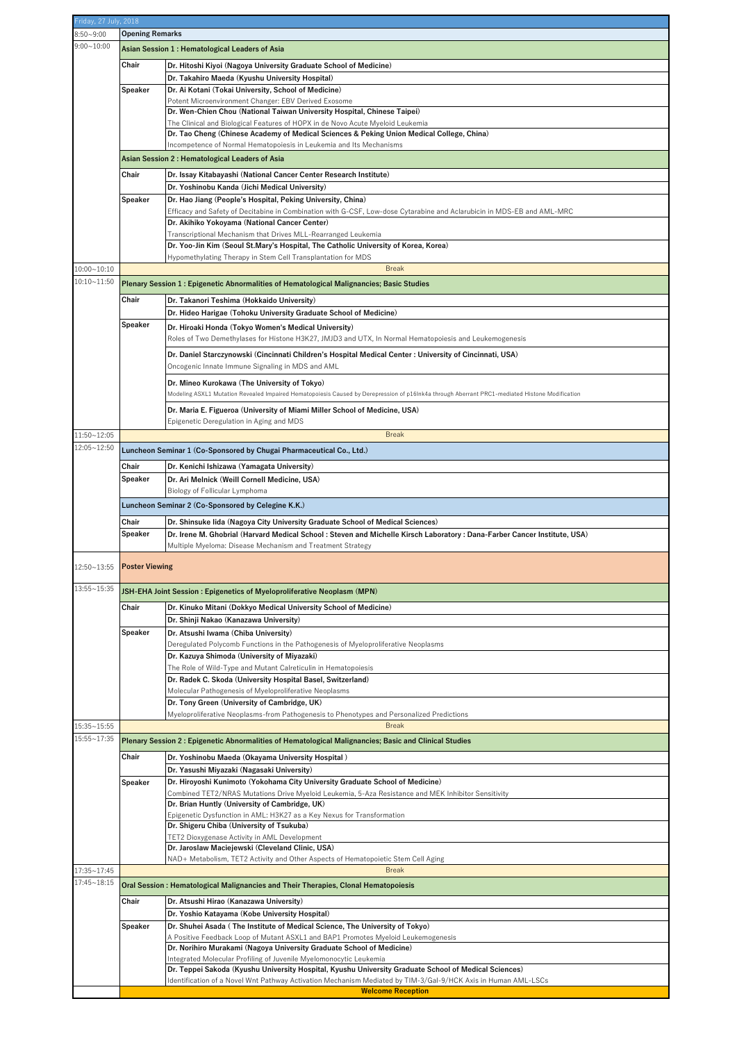|                 | Friday, 27 July, 2018                                      |                                                                                                                                                                                                                        |  |  |
|-----------------|------------------------------------------------------------|------------------------------------------------------------------------------------------------------------------------------------------------------------------------------------------------------------------------|--|--|
| $8:50 - 9:00$   | <b>Opening Remarks</b>                                     |                                                                                                                                                                                                                        |  |  |
| $9:00 - 10:00$  | Asian Session 1: Hematological Leaders of Asia             |                                                                                                                                                                                                                        |  |  |
|                 |                                                            |                                                                                                                                                                                                                        |  |  |
|                 | Chair                                                      | Dr. Hitoshi Kiyoi (Nagoya University Graduate School of Medicine)                                                                                                                                                      |  |  |
|                 |                                                            | Dr. Takahiro Maeda (Kyushu University Hospital)                                                                                                                                                                        |  |  |
|                 | Speaker                                                    | Dr. Ai Kotani (Tokai University, School of Medicine)                                                                                                                                                                   |  |  |
|                 |                                                            | Potent Microenvironment Changer: EBV Derived Exosome<br>Dr. Wen-Chien Chou (National Taiwan University Hospital, Chinese Taipei)                                                                                       |  |  |
|                 |                                                            | The Clinical and Biological Features of HOPX in de Novo Acute Myeloid Leukemia                                                                                                                                         |  |  |
|                 |                                                            | Dr. Tao Cheng (Chinese Academy of Medical Sciences & Peking Union Medical College, China)                                                                                                                              |  |  |
|                 |                                                            | Incompetence of Normal Hematopoiesis in Leukemia and Its Mechanisms                                                                                                                                                    |  |  |
|                 |                                                            | Asian Session 2 : Hematological Leaders of Asia                                                                                                                                                                        |  |  |
|                 |                                                            |                                                                                                                                                                                                                        |  |  |
|                 | Chair                                                      | Dr. Issay Kitabayashi (National Cancer Center Research Institute)                                                                                                                                                      |  |  |
|                 |                                                            | Dr. Yoshinobu Kanda (Jichi Medical University)                                                                                                                                                                         |  |  |
|                 | Speaker                                                    | Dr. Hao Jiang (People's Hospital, Peking University, China)                                                                                                                                                            |  |  |
|                 |                                                            | Efficacy and Safety of Decitabine in Combination with G-CSF, Low-dose Cytarabine and Aclarubicin in MDS-EB and AML-MRC                                                                                                 |  |  |
|                 |                                                            | Dr. Akihiko Yokoyama (National Cancer Center)                                                                                                                                                                          |  |  |
|                 |                                                            | Transcriptional Mechanism that Drives MLL-Rearranged Leukemia                                                                                                                                                          |  |  |
|                 |                                                            | Dr. Yoo-Jin Kim (Seoul St.Mary's Hospital, The Catholic University of Korea, Korea)                                                                                                                                    |  |  |
|                 |                                                            | Hypomethylating Therapy in Stem Cell Transplantation for MDS                                                                                                                                                           |  |  |
| 10:00~10:10     |                                                            | <b>Break</b>                                                                                                                                                                                                           |  |  |
| 10:10~11:50     |                                                            | Plenary Session 1 : Epigenetic Abnormalities of Hematological Malignancies; Basic Studies                                                                                                                              |  |  |
|                 | Chair                                                      | Dr. Takanori Teshima (Hokkaido University)                                                                                                                                                                             |  |  |
|                 |                                                            |                                                                                                                                                                                                                        |  |  |
|                 |                                                            | Dr. Hideo Harigae (Tohoku University Graduate School of Medicine)                                                                                                                                                      |  |  |
|                 | Speaker                                                    | Dr. Hiroaki Honda (Tokyo Women's Medical University)                                                                                                                                                                   |  |  |
|                 |                                                            | Roles of Two Demethylases for Histone H3K27, JMJD3 and UTX, In Normal Hematopoiesis and Leukemogenesis                                                                                                                 |  |  |
|                 |                                                            | Dr. Daniel Starczynowski (Cincinnati Children's Hospital Medical Center : University of Cincinnati, USA)                                                                                                               |  |  |
|                 |                                                            | Oncogenic Innate Immune Signaling in MDS and AML                                                                                                                                                                       |  |  |
|                 |                                                            |                                                                                                                                                                                                                        |  |  |
|                 |                                                            | Dr. Mineo Kurokawa (The University of Tokyo)                                                                                                                                                                           |  |  |
|                 |                                                            | Modeling ASXL1 Mutation Revealed Impaired Hematopoiesis Caused by Derepression of p16Ink4a through Aberrant PRC1-mediated Histone Modification                                                                         |  |  |
|                 |                                                            | Dr. Maria E. Figueroa (University of Miami Miller School of Medicine, USA)                                                                                                                                             |  |  |
|                 |                                                            | Epigenetic Deregulation in Aging and MDS                                                                                                                                                                               |  |  |
| 11:50~12:05     |                                                            | <b>Break</b>                                                                                                                                                                                                           |  |  |
| 12:05~12:50     |                                                            | Luncheon Seminar 1 (Co-Sponsored by Chugai Pharmaceutical Co., Ltd.)                                                                                                                                                   |  |  |
|                 |                                                            |                                                                                                                                                                                                                        |  |  |
|                 | Chair                                                      | Dr. Kenichi Ishizawa (Yamagata University)                                                                                                                                                                             |  |  |
|                 | Speaker                                                    | Dr. Ari Melnick (Weill Cornell Medicine, USA)                                                                                                                                                                          |  |  |
|                 |                                                            | Biology of Follicular Lymphoma                                                                                                                                                                                         |  |  |
|                 |                                                            | Luncheon Seminar 2 (Co-Sponsored by Celegine K.K.)                                                                                                                                                                     |  |  |
|                 | Chair                                                      | Dr. Shinsuke lida (Nagoya City University Graduate School of Medical Sciences)                                                                                                                                         |  |  |
|                 |                                                            |                                                                                                                                                                                                                        |  |  |
|                 | Speaker                                                    | Dr. Irene M. Ghobrial (Harvard Medical School: Steven and Michelle Kirsch Laboratory: Dana-Farber Cancer Institute, USA)                                                                                               |  |  |
|                 | Multiple Myeloma: Disease Mechanism and Treatment Strategy |                                                                                                                                                                                                                        |  |  |
| 12:50~13:55     | <b>Poster Viewing</b>                                      |                                                                                                                                                                                                                        |  |  |
|                 |                                                            |                                                                                                                                                                                                                        |  |  |
| 13:55~15:35     |                                                            | JSH-EHA Joint Session: Epigenetics of Myeloproliferative Neoplasm (MPN)                                                                                                                                                |  |  |
|                 |                                                            |                                                                                                                                                                                                                        |  |  |
|                 | Chair                                                      | Dr. Kinuko Mitani (Dokkyo Medical University School of Medicine)                                                                                                                                                       |  |  |
|                 |                                                            | Dr. Shinji Nakao (Kanazawa University)                                                                                                                                                                                 |  |  |
|                 | Speaker                                                    | Dr. Atsushi Iwama (Chiba University)                                                                                                                                                                                   |  |  |
|                 |                                                            | Deregulated Polycomb Functions in the Pathogenesis of Myeloproliferative Neoplasms                                                                                                                                     |  |  |
|                 |                                                            | Dr. Kazuya Shimoda (University of Miyazaki)                                                                                                                                                                            |  |  |
|                 |                                                            | The Role of Wild-Type and Mutant Calreticulin in Hematopoiesis                                                                                                                                                         |  |  |
|                 |                                                            | Dr. Radek C. Skoda (University Hospital Basel, Switzerland)                                                                                                                                                            |  |  |
|                 |                                                            | Molecular Pathogenesis of Myeloproliferative Neoplasms                                                                                                                                                                 |  |  |
|                 |                                                            | Dr. Tony Green (University of Cambridge, UK)                                                                                                                                                                           |  |  |
|                 |                                                            | Myeloproliferative Neoplasms-from Pathogenesis to Phenotypes and Personalized Predictions                                                                                                                              |  |  |
| $15:35 - 15:55$ | <b>Break</b>                                               |                                                                                                                                                                                                                        |  |  |
| 15:55~17:35     |                                                            | Plenary Session 2 : Epigenetic Abnormalities of Hematological Malignancies; Basic and Clinical Studies                                                                                                                 |  |  |
|                 | Chair                                                      | Dr. Yoshinobu Maeda (Okayama University Hospital)                                                                                                                                                                      |  |  |
|                 |                                                            | Dr. Yasushi Miyazaki (Nagasaki University)                                                                                                                                                                             |  |  |
|                 | Speaker                                                    | Dr. Hiroyoshi Kunimoto (Yokohama City University Graduate School of Medicine)                                                                                                                                          |  |  |
|                 |                                                            | Combined TET2/NRAS Mutations Drive Myeloid Leukemia, 5-Aza Resistance and MEK Inhibitor Sensitivity                                                                                                                    |  |  |
|                 |                                                            |                                                                                                                                                                                                                        |  |  |
|                 |                                                            | Dr. Brian Huntly (University of Cambridge, UK)                                                                                                                                                                         |  |  |
|                 |                                                            | Epigenetic Dysfunction in AML: H3K27 as a Key Nexus for Transformation                                                                                                                                                 |  |  |
|                 |                                                            | Dr. Shigeru Chiba (University of Tsukuba)                                                                                                                                                                              |  |  |
|                 |                                                            | TET2 Dioxygenase Activity in AML Development                                                                                                                                                                           |  |  |
|                 |                                                            | Dr. Jaroslaw Maciejewski (Cleveland Clinic, USA)                                                                                                                                                                       |  |  |
|                 |                                                            | NAD+ Metabolism, TET2 Activity and Other Aspects of Hematopoietic Stem Cell Aging                                                                                                                                      |  |  |
| $17:35 - 17:45$ |                                                            | <b>Break</b>                                                                                                                                                                                                           |  |  |
| $17:45 - 18:15$ |                                                            | Oral Session : Hematological Malignancies and Their Therapies, Clonal Hematopoiesis                                                                                                                                    |  |  |
|                 |                                                            |                                                                                                                                                                                                                        |  |  |
|                 | Chair                                                      | Dr. Atsushi Hirao (Kanazawa University)                                                                                                                                                                                |  |  |
|                 |                                                            | Dr. Yoshio Katayama (Kobe University Hospital)                                                                                                                                                                         |  |  |
|                 | Speaker                                                    | Dr. Shuhei Asada (The Institute of Medical Science, The University of Tokyo)                                                                                                                                           |  |  |
|                 |                                                            | A Positive Feedback Loop of Mutant ASXL1 and BAP1 Promotes Myeloid Leukemogenesis                                                                                                                                      |  |  |
|                 |                                                            | Dr. Norihiro Murakami (Nagoya University Graduate School of Medicine)                                                                                                                                                  |  |  |
|                 |                                                            | Integrated Molecular Profiling of Juvenile Myelomonocytic Leukemia                                                                                                                                                     |  |  |
|                 |                                                            | Dr. Teppei Sakoda (Kyushu University Hospital, Kyushu University Graduate School of Medical Sciences)<br>Identification of a Novel Wnt Pathway Activation Mechanism Mediated by TIM-3/Gal-9/HCK Axis in Human AML-LSCs |  |  |